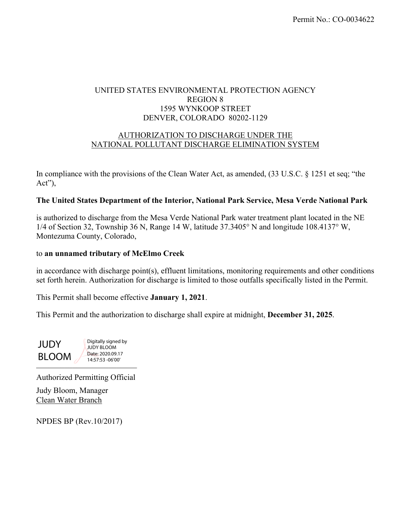# UNITED STATES ENVIRONMENTAL PROTECTION AGENCY REGION 8 1595 WYNKOOP STREET DENVER, COLORADO 80202-1129

### AUTHORIZATION TO DISCHARGE UNDER THE NATIONAL POLLUTANT DISCHARGE ELIMINATION SYSTEM

In compliance with the provisions of the Clean Water Act, as amended, (33 U.S.C. § 1251 et seq; "the Act"),

### **The United States Department of the Interior, National Park Service, Mesa Verde National Park**

is authorized to discharge from the Mesa Verde National Park water treatment plant located in the NE  $1/4$  of Section 32, Township 36 N, Range 14 W, latitude 37.3405° N and longitude 108.4137° W, Montezuma County, Colorado,

#### to **an unnamed tributary of McElmo Creek**

in accordance with discharge point(s), effluent limitations, monitoring requirements and other conditions set forth herein. Authorization for discharge is limited to those outfalls specifically listed in the Permit.

This Permit shall become effective **January 1, 2021**.

This Permit and the authorization to discharge shall expire at midnight, **December 31, 2025**.

 $\frac{1}{2}$  ...  $\frac{1}{2}$ **JUDY** BLOOM Digitally signed by JUDY BLOOM Date: 2020.09.17 14:57:53 -06'00'

Authorized Permitting Official

Judy Bloom, Manager Clean Water Branch

NPDES BP (Rev.10/2017)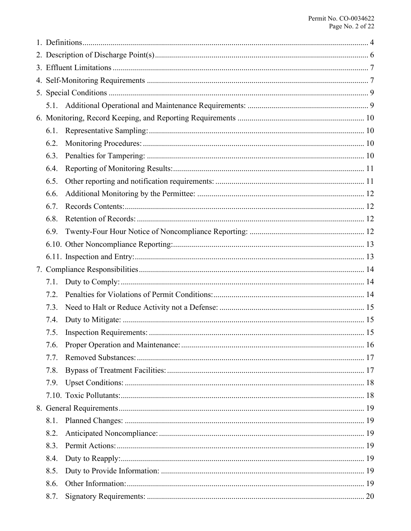| 6.1. |  |  |  |  |
|------|--|--|--|--|
| 6.2. |  |  |  |  |
| 6.3. |  |  |  |  |
| 6.4. |  |  |  |  |
| 6.5. |  |  |  |  |
| 6.6. |  |  |  |  |
| 6.7. |  |  |  |  |
| 6.8. |  |  |  |  |
| 6.9. |  |  |  |  |
|      |  |  |  |  |
|      |  |  |  |  |
|      |  |  |  |  |
| 7.1. |  |  |  |  |
| 7.2. |  |  |  |  |
| 7.3. |  |  |  |  |
| 7.4. |  |  |  |  |
| 7.5. |  |  |  |  |
| 7.6. |  |  |  |  |
| 7.7. |  |  |  |  |
| 7.8. |  |  |  |  |
| 7.9. |  |  |  |  |
|      |  |  |  |  |
|      |  |  |  |  |
| 8.1. |  |  |  |  |
| 8.2. |  |  |  |  |
| 8.3. |  |  |  |  |
| 8.4. |  |  |  |  |
| 8.5. |  |  |  |  |
| 8.6. |  |  |  |  |
| 8.7. |  |  |  |  |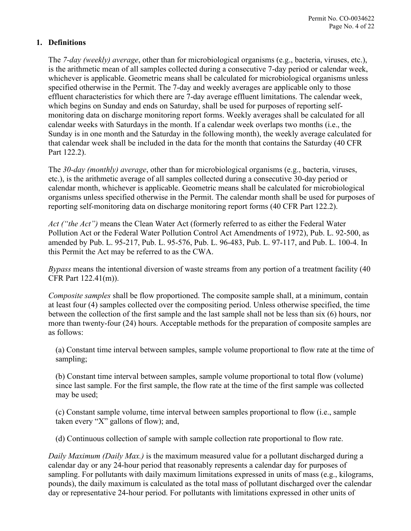# <span id="page-3-0"></span>**1. Definitions**

The *7-day (weekly) average*, other than for microbiological organisms (e.g., bacteria, viruses, etc.), is the arithmetic mean of all samples collected during a consecutive 7-day period or calendar week, whichever is applicable. Geometric means shall be calculated for microbiological organisms unless specified otherwise in the Permit. The 7-day and weekly averages are applicable only to those effluent characteristics for which there are 7-day average effluent limitations. The calendar week, which begins on Sunday and ends on Saturday, shall be used for purposes of reporting selfmonitoring data on discharge monitoring report forms. Weekly averages shall be calculated for all calendar weeks with Saturdays in the month. If a calendar week overlaps two months (i.e., the Sunday is in one month and the Saturday in the following month), the weekly average calculated for that calendar week shall be included in the data for the month that contains the Saturday (40 CFR Part 122.2).

The *30-day (monthly) average*, other than for microbiological organisms (e.g., bacteria, viruses, etc.), is the arithmetic average of all samples collected during a consecutive 30-day period or calendar month, whichever is applicable. Geometric means shall be calculated for microbiological organisms unless specified otherwise in the Permit. The calendar month shall be used for purposes of reporting self-monitoring data on discharge monitoring report forms (40 CFR Part 122.2).

*Act ("the Act")* means the Clean Water Act (formerly referred to as either the Federal Water Pollution Act or the Federal Water Pollution Control Act Amendments of 1972), Pub. L. 92-500, as amended by Pub. L. 95-217, Pub. L. 95-576, Pub. L. 96-483, Pub. L. 97-117, and Pub. L. 100-4. In this Permit the Act may be referred to as the CWA.

*Bypass* means the intentional diversion of waste streams from any portion of a treatment facility (40 CFR Part 122.41(m)).

*Composite samples* shall be flow proportioned. The composite sample shall, at a minimum, contain at least four (4) samples collected over the compositing period. Unless otherwise specified, the time between the collection of the first sample and the last sample shall not be less than six (6) hours, nor more than twenty-four (24) hours. Acceptable methods for the preparation of composite samples are as follows:

(a) Constant time interval between samples, sample volume proportional to flow rate at the time of sampling;

(b) Constant time interval between samples, sample volume proportional to total flow (volume) since last sample. For the first sample, the flow rate at the time of the first sample was collected may be used;

(c) Constant sample volume, time interval between samples proportional to flow (i.e., sample taken every "X" gallons of flow); and,

(d) Continuous collection of sample with sample collection rate proportional to flow rate.

*Daily Maximum (Daily Max.)* is the maximum measured value for a pollutant discharged during a calendar day or any 24-hour period that reasonably represents a calendar day for purposes of sampling. For pollutants with daily maximum limitations expressed in units of mass (e.g., kilograms, pounds), the daily maximum is calculated as the total mass of pollutant discharged over the calendar day or representative 24-hour period. For pollutants with limitations expressed in other units of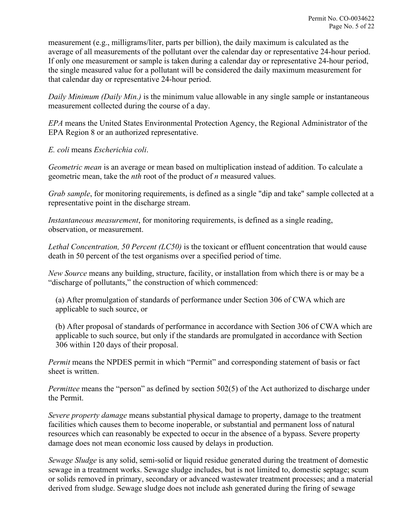measurement (e.g., milligrams/liter, parts per billion), the daily maximum is calculated as the average of all measurements of the pollutant over the calendar day or representative 24-hour period. If only one measurement or sample is taken during a calendar day or representative 24-hour period, the single measured value for a pollutant will be considered the daily maximum measurement for that calendar day or representative 24-hour period.

*Daily Minimum (Daily Min.)* is the minimum value allowable in any single sample or instantaneous measurement collected during the course of a day.

*EPA* means the United States Environmental Protection Agency, the Regional Administrator of the EPA Region 8 or an authorized representative.

*E. coli* means *Escherichia coli*.

*Geometric mean* is an average or mean based on multiplication instead of addition. To calculate a geometric mean, take the *nth* root of the product of *n* measured values.

*Grab sample*, for monitoring requirements, is defined as a single "dip and take" sample collected at a representative point in the discharge stream.

*Instantaneous measurement*, for monitoring requirements, is defined as a single reading, observation, or measurement.

*Lethal Concentration, 50 Percent (LC50)* is the toxicant or effluent concentration that would cause death in 50 percent of the test organisms over a specified period of time.

*New Source* means any building, structure, facility, or installation from which there is or may be a "discharge of pollutants," the construction of which commenced:

(a) After promulgation of standards of performance under Section 306 of CWA which are applicable to such source, or

(b) After proposal of standards of performance in accordance with Section 306 of CWA which are applicable to such source, but only if the standards are promulgated in accordance with Section 306 within 120 days of their proposal.

*Permit* means the NPDES permit in which "Permit" and corresponding statement of basis or fact sheet is written.

*Permittee* means the "person" as defined by section 502(5) of the Act authorized to discharge under the Permit.

*Severe property damage* means substantial physical damage to property, damage to the treatment facilities which causes them to become inoperable, or substantial and permanent loss of natural resources which can reasonably be expected to occur in the absence of a bypass. Severe property damage does not mean economic loss caused by delays in production.

*Sewage Sludge* is any solid, semi-solid or liquid residue generated during the treatment of domestic sewage in a treatment works. Sewage sludge includes, but is not limited to, domestic septage; scum or solids removed in primary, secondary or advanced wastewater treatment processes; and a material derived from sludge. Sewage sludge does not include ash generated during the firing of sewage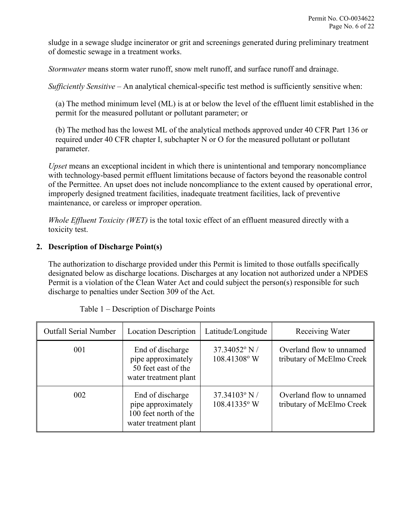sludge in a sewage sludge incinerator or grit and screenings generated during preliminary treatment of domestic sewage in a treatment works.

*Stormwater* means storm water runoff, snow melt runoff, and surface runoff and drainage.

*Sufficiently Sensitive* – An analytical chemical-specific test method is sufficiently sensitive when:

(a) The method minimum level (ML) is at or below the level of the effluent limit established in the permit for the measured pollutant or pollutant parameter; or

(b) The method has the lowest ML of the analytical methods approved under 40 CFR Part 136 or required under 40 CFR chapter I, subchapter N or O for the measured pollutant or pollutant parameter.

*Upset* means an exceptional incident in which there is unintentional and temporary noncompliance with technology-based permit effluent limitations because of factors beyond the reasonable control of the Permittee. An upset does not include noncompliance to the extent caused by operational error, improperly designed treatment facilities, inadequate treatment facilities, lack of preventive maintenance, or careless or improper operation.

*Whole Effluent Toxicity (WET)* is the total toxic effect of an effluent measured directly with a toxicity test.

# <span id="page-5-0"></span>**2. Description of Discharge Point(s)**

The authorization to discharge provided under this Permit is limited to those outfalls specifically designated below as discharge locations. Discharges at any location not authorized under a NPDES Permit is a violation of the Clean Water Act and could subject the person(s) responsible for such discharge to penalties under Section 309 of the Act.

| <b>Outfall Serial Number</b> | <b>Location Description</b>                                                              | Latitude/Longitude              | Receiving Water                                       |
|------------------------------|------------------------------------------------------------------------------------------|---------------------------------|-------------------------------------------------------|
| 001                          | End of discharge<br>pipe approximately<br>50 feet east of the<br>water treatment plant   | $37.34052$ ° N/<br>108.41308° W | Overland flow to unnamed<br>tributary of McElmo Creek |
| 002                          | End of discharge<br>pipe approximately<br>100 feet north of the<br>water treatment plant | $37.34103$ ° N/<br>108.41335° W | Overland flow to unnamed<br>tributary of McElmo Creek |

|  |  | Table 1 – Description of Discharge Points |  |
|--|--|-------------------------------------------|--|
|  |  |                                           |  |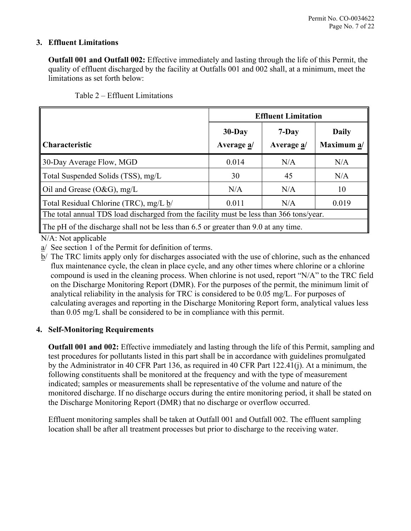# <span id="page-6-0"></span>**3. Effluent Limitations**

**Outfall 001 and Outfall 002:** Effective immediately and lasting through the life of this Permit, the quality of effluent discharged by the facility at Outfalls 001 and 002 shall, at a minimum, meet the limitations as set forth below:

|                                                                                         | <b>Effluent Limitation</b> |            |              |
|-----------------------------------------------------------------------------------------|----------------------------|------------|--------------|
|                                                                                         | $30$ -Day                  | $7-Day$    | <b>Daily</b> |
| Characteristic                                                                          | Average a/                 | Average a/ | Maximum a/   |
| 30-Day Average Flow, MGD                                                                | 0.014                      | N/A        | N/A          |
| Total Suspended Solids (TSS), mg/L                                                      | 30                         | 45         | N/A          |
| Oil and Grease (O&G), mg/L                                                              | N/A                        | N/A        | 10           |
| Total Residual Chlorine (TRC), mg/L b/                                                  | 0.011                      | N/A        | 0.019        |
| The total annual TDS load discharged from the facility must be less than 366 tons/year. |                            |            |              |
| The pH of the discharge shall not be less than 6.5 or greater than 9.0 at any time.     |                            |            |              |

N/A: Not applicable

a/ See section [1](#page-3-0) of the Permit for definition of terms.

b/ The TRC limits apply only for discharges associated with the use of chlorine, such as the enhanced flux maintenance cycle, the clean in place cycle, and any other times where chlorine or a chlorine compound is used in the cleaning process. When chlorine is not used, report "N/A" to the TRC field on the Discharge Monitoring Report (DMR). For the purposes of the permit, the minimum limit of analytical reliability in the analysis for TRC is considered to be 0.05 mg/L. For purposes of calculating averages and reporting in the Discharge Monitoring Report form, analytical values less than 0.05 mg/L shall be considered to be in compliance with this permit.

# <span id="page-6-1"></span>**4. Self-Monitoring Requirements**

**Outfall 001 and 002:** Effective immediately and lasting through the life of this Permit, sampling and test procedures for pollutants listed in this part shall be in accordance with guidelines promulgated by the Administrator in 40 CFR Part 136, as required in 40 CFR Part 122.41(j). At a minimum, the following constituents shall be monitored at the frequency and with the type of measurement indicated; samples or measurements shall be representative of the volume and nature of the monitored discharge. If no discharge occurs during the entire monitoring period, it shall be stated on the Discharge Monitoring Report (DMR) that no discharge or overflow occurred.

Effluent monitoring samples shall be taken at Outfall 001 and Outfall 002. The effluent sampling location shall be after all treatment processes but prior to discharge to the receiving water.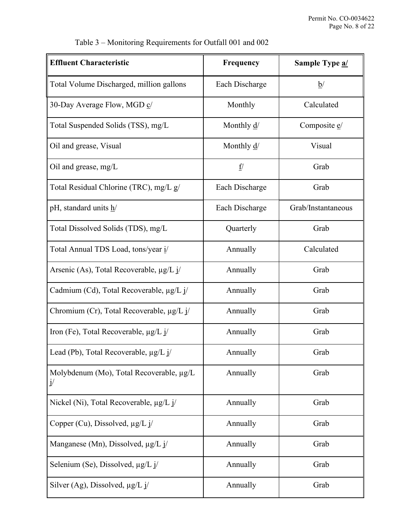| <b>Effluent Characteristic</b>                 | Frequency               | Sample Type a/       |
|------------------------------------------------|-------------------------|----------------------|
| Total Volume Discharged, million gallons       | Each Discharge          | $\underline{b}$      |
| 30-Day Average Flow, MGD c/                    | Monthly                 | Calculated           |
| Total Suspended Solids (TSS), mg/L             | Monthly $\underline{d}$ | Composite <i>e</i> / |
| Oil and grease, Visual                         | Monthly $\frac{d}{ }$   | Visual               |
| Oil and grease, mg/L                           | f/                      | Grab                 |
| Total Residual Chlorine (TRC), mg/L g/         | Each Discharge          | Grab                 |
| pH, standard units h/                          | Each Discharge          | Grab/Instantaneous   |
| Total Dissolved Solids (TDS), mg/L             | Quarterly               | Grab                 |
| Total Annual TDS Load, tons/year i/            | Annually                | Calculated           |
| Arsenic (As), Total Recoverable, $\mu g/L$ j/  | Annually                | Grab                 |
| Cadmium (Cd), Total Recoverable, µg/L j/       | Annually                | Grab                 |
| Chromium (Cr), Total Recoverable, $\mu g/L$ j/ | Annually                | Grab                 |
| Iron (Fe), Total Recoverable, μg/L j/          | Annually                | Grab                 |
| Lead (Pb), Total Recoverable, µg/L j/          | Annually                | Grab                 |
| Molybdenum (Mo), Total Recoverable, µg/L<br>j' | Annually                | Grab                 |
| Nickel (Ni), Total Recoverable, μg/L j/        | Annually                | Grab                 |
| Copper (Cu), Dissolved, $\mu g/L$ j/           | Annually                | Grab                 |
| Manganese (Mn), Dissolved, $\mu g/L j/$        | Annually                | Grab                 |
| Selenium (Se), Dissolved, µg/L j/              | Annually                | Grab                 |
| Silver (Ag), Dissolved, $\mu$ g/L j/           | Annually                | Grab                 |

Table 3 – Monitoring Requirements for Outfall 001 and 002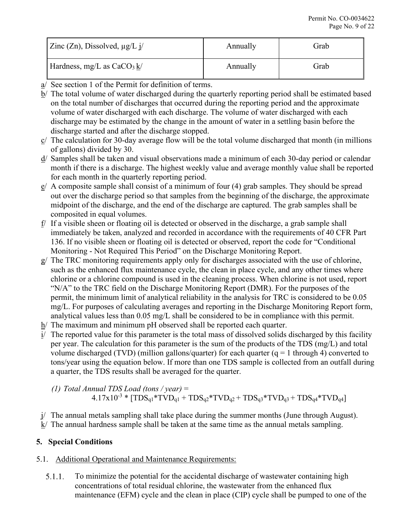| Zinc (Zn), Dissolved, $\mu$ g/L j/ | Annually | Grab |
|------------------------------------|----------|------|
| Hardness, mg/L as $CaCO3 k/$       | Annually | Grab |

- a/ See section 1 of the Permit for definition of terms.
- b/ The total volume of water discharged during the quarterly reporting period shall be estimated based on the total number of discharges that occurred during the reporting period and the approximate volume of water discharged with each discharge. The volume of water discharged with each discharge may be estimated by the change in the amount of water in a settling basin before the discharge started and after the discharge stopped.
- c/ The calculation for 30-day average flow will be the total volume discharged that month (in millions of gallons) divided by 30.
- d/ Samples shall be taken and visual observations made a minimum of each 30-day period or calendar month if there is a discharge. The highest weekly value and average monthly value shall be reported for each month in the quarterly reporting period.
- $e^{\prime}$  A composite sample shall consist of a minimum of four (4) grab samples. They should be spread out over the discharge period so that samples from the beginning of the discharge, the approximate midpoint of the discharge, and the end of the discharge are captured. The grab samples shall be composited in equal volumes.
- f/ If a visible sheen or floating oil is detected or observed in the discharge, a grab sample shall immediately be taken, analyzed and recorded in accordance with the requirements of 40 CFR Part 136. If no visible sheen or floating oil is detected or observed, report the code for "Conditional Monitoring - Not Required This Period" on the Discharge Monitoring Report.
- g/ The TRC monitoring requirements apply only for discharges associated with the use of chlorine, such as the enhanced flux maintenance cycle, the clean in place cycle, and any other times where chlorine or a chlorine compound is used in the cleaning process. When chlorine is not used, report "N/A" to the TRC field on the Discharge Monitoring Report (DMR). For the purposes of the permit, the minimum limit of analytical reliability in the analysis for TRC is considered to be 0.05 mg/L. For purposes of calculating averages and reporting in the Discharge Monitoring Report form, analytical values less than 0.05 mg/L shall be considered to be in compliance with this permit.
- h/ The maximum and minimum pH observed shall be reported each quarter.
- i/ The reported value for this parameter is the total mass of dissolved solids discharged by this facility per year. The calculation for this parameter is the sum of the products of the TDS (mg/L) and total volume discharged (TVD) (million gallons/quarter) for each quarter  $(q = 1$  through 4) converted to tons/year using the equation below. If more than one TDS sample is collected from an outfall during a quarter, the TDS results shall be averaged for the quarter.

$$
(1) Total Annual TDS Load (tons / year) =
$$
  
4.17x10<sup>-3</sup> \* [TDS<sub>q1</sub>\*TVD<sub>q1</sub> + TDS<sub>q2</sub>\*TVD<sub>q2</sub> + TDS<sub>q3</sub>\*TVD<sub>q3</sub> + TDS<sub>q4</sub>\*TVD<sub>q4</sub>]

 $j$  The annual metals sampling shall take place during the summer months (June through August). k/ The annual hardness sample shall be taken at the same time as the annual metals sampling.

# <span id="page-8-0"></span>**5. Special Conditions**

# <span id="page-8-1"></span>5.1. Additional Operational and Maintenance Requirements:

To minimize the potential for the accidental discharge of wastewater containing high  $5.1.1.$ concentrations of total residual chlorine, the wastewater from the enhanced flux maintenance (EFM) cycle and the clean in place (CIP) cycle shall be pumped to one of the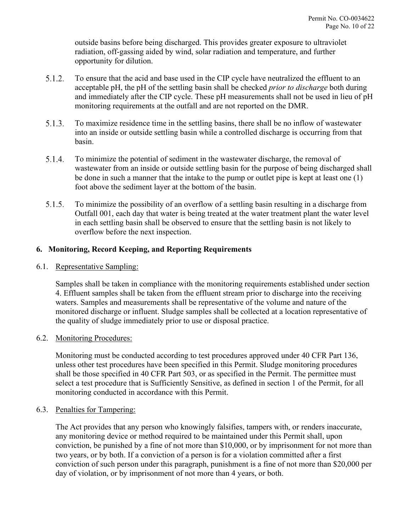outside basins before being discharged. This provides greater exposure to ultraviolet radiation, off-gassing aided by wind, solar radiation and temperature, and further opportunity for dilution.

- $5.1.2.$ To ensure that the acid and base used in the CIP cycle have neutralized the effluent to an acceptable pH, the pH of the settling basin shall be checked *prior to discharge* both during and immediately after the CIP cycle. These pH measurements shall not be used in lieu of pH monitoring requirements at the outfall and are not reported on the DMR.
- $5.1.3.$ To maximize residence time in the settling basins, there shall be no inflow of wastewater into an inside or outside settling basin while a controlled discharge is occurring from that basin.
- $5.1.4.$ To minimize the potential of sediment in the wastewater discharge, the removal of wastewater from an inside or outside settling basin for the purpose of being discharged shall be done in such a manner that the intake to the pump or outlet pipe is kept at least one (1) foot above the sediment layer at the bottom of the basin.
- $5.1.5.$ To minimize the possibility of an overflow of a settling basin resulting in a discharge from Outfall 001, each day that water is being treated at the water treatment plant the water level in each settling basin shall be observed to ensure that the settling basin is not likely to overflow before the next inspection.

# <span id="page-9-0"></span>**6. Monitoring, Record Keeping, and Reporting Requirements**

### <span id="page-9-1"></span>6.1. Representative Sampling:

Samples shall be taken in compliance with the monitoring requirements established under section [4.](#page-6-1) Effluent samples shall be taken from the effluent stream prior to discharge into the receiving waters. Samples and measurements shall be representative of the volume and nature of the monitored discharge or influent. Sludge samples shall be collected at a location representative of the quality of sludge immediately prior to use or disposal practice.

### <span id="page-9-2"></span>6.2. Monitoring Procedures:

Monitoring must be conducted according to test procedures approved under 40 CFR Part 136, unless other test procedures have been specified in this Permit. Sludge monitoring procedures shall be those specified in 40 CFR Part 503, or as specified in the Permit. The permittee must select a test procedure that is Sufficiently Sensitive, as defined in section 1 of the Permit, for all monitoring conducted in accordance with this Permit.

### <span id="page-9-3"></span>6.3. Penalties for Tampering:

The Act provides that any person who knowingly falsifies, tampers with, or renders inaccurate, any monitoring device or method required to be maintained under this Permit shall, upon conviction, be punished by a fine of not more than \$10,000, or by imprisonment for not more than two years, or by both. If a conviction of a person is for a violation committed after a first conviction of such person under this paragraph, punishment is a fine of not more than \$20,000 per day of violation, or by imprisonment of not more than 4 years, or both.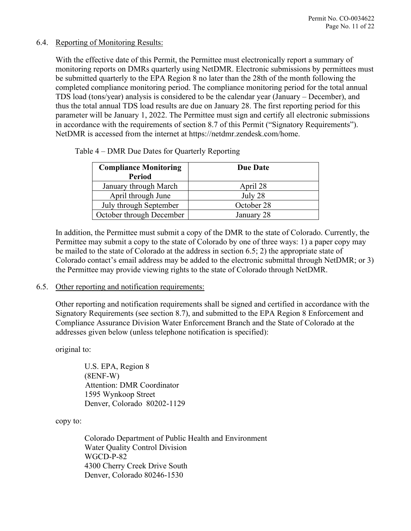### <span id="page-10-0"></span>6.4. Reporting of Monitoring Results:

With the effective date of this Permit, the Permittee must electronically report a summary of monitoring reports on DMRs quarterly using NetDMR. Electronic submissions by permittees must be submitted quarterly to the EPA Region 8 no later than the 28th of the month following the completed compliance monitoring period. The compliance monitoring period for the total annual TDS load (tons/year) analysis is considered to be the calendar year (January – December), and thus the total annual TDS load results are due on January 28. The first reporting period for this parameter will be January 1, 2022. The Permittee must sign and certify all electronic submissions in accordance with the requirements of section [8.7](#page-19-0) of this Permit ("Signatory Requirements"). NetDMR is accessed from the internet at [https://netdmr.zendesk.com/home.](https://netdmr.zendesk.com/home)

| <b>Compliance Monitoring</b> | <b>Due Date</b> |  |
|------------------------------|-----------------|--|
| <b>Period</b>                |                 |  |
| January through March        | April 28        |  |
| April through June           | July 28         |  |
| July through September       | October 28      |  |
| October through December     | January 28      |  |

Table 4 – DMR Due Dates for Quarterly Reporting

In addition, the Permittee must submit a copy of the DMR to the state of Colorado. Currently, the Permittee may submit a copy to the state of Colorado by one of three ways: 1) a paper copy may be mailed to the state of Colorado at the address in section 6.5; 2) the appropriate state of Colorado contact's email address may be added to the electronic submittal through NetDMR; or 3) the Permittee may provide viewing rights to the state of Colorado through NetDMR.

#### <span id="page-10-1"></span>6.5. Other reporting and notification requirements:

Other reporting and notification requirements shall be signed and certified in accordance with the Signatory Requirements (see section [8.7\)](#page-19-0), and submitted to the EPA Region 8 Enforcement and Compliance Assurance Division Water Enforcement Branch and the State of Colorado at the addresses given below (unless telephone notification is specified):

original to:

U.S. EPA, Region 8 (8ENF-W) Attention: DMR Coordinator 1595 Wynkoop Street Denver, Colorado 80202-1129

copy to:

Colorado Department of Public Health and Environment Water Quality Control Division WGCD-P-82 4300 Cherry Creek Drive South Denver, Colorado 80246-1530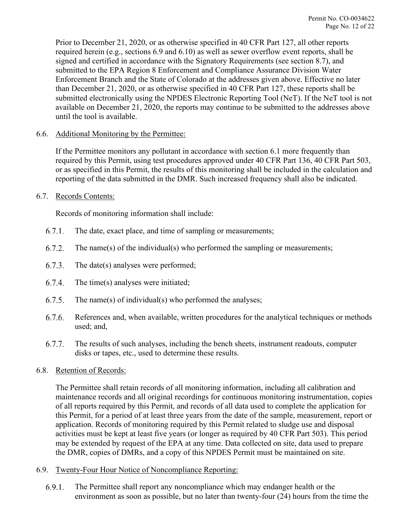Prior to December 21, 2020, or as otherwise specified in 40 CFR Part 127, all other reports required herein (e.g., sections [6.9](#page-11-3) and [6.10\)](#page-12-0) as well as sewer overflow event reports, shall be signed and certified in accordance with the Signatory Requirements (see section [8.7\)](#page-19-0), and submitted to the EPA Region 8 Enforcement and Compliance Assurance Division Water Enforcement Branch and the State of Colorado at the addresses given above. Effective no later than December 21, 2020, or as otherwise specified in 40 CFR Part 127, these reports shall be submitted electronically using the NPDES Electronic Reporting Tool (NeT). If the NeT tool is not available on December 21, 2020, the reports may continue to be submitted to the addresses above until the tool is available.

### <span id="page-11-0"></span>6.6. Additional Monitoring by the Permittee:

If the Permittee monitors any pollutant in accordance with section [6.1](#page-9-1) more frequently than required by this Permit, using test procedures approved under 40 CFR Part 136, 40 CFR Part 503, or as specified in this Permit, the results of this monitoring shall be included in the calculation and reporting of the data submitted in the DMR. Such increased frequency shall also be indicated.

#### <span id="page-11-1"></span>6.7. Records Contents:

Records of monitoring information shall include:

- $6.7.1.$ The date, exact place, and time of sampling or measurements;
- $6.7.2.$ The name(s) of the individual(s) who performed the sampling or measurements;
- $6.7.3.$ The date(s) analyses were performed;
- 6.7.4. The time(s) analyses were initiated;
- $6.7.5.$ The name(s) of individual(s) who performed the analyses;
- $6.7.6.$ References and, when available, written procedures for the analytical techniques or methods used; and,
- $6.7.7.$ The results of such analyses, including the bench sheets, instrument readouts, computer disks or tapes, etc., used to determine these results.

### <span id="page-11-2"></span>6.8. Retention of Records:

The Permittee shall retain records of all monitoring information, including all calibration and maintenance records and all original recordings for continuous monitoring instrumentation, copies of all reports required by this Permit, and records of all data used to complete the application for this Permit, for a period of at least three years from the date of the sample, measurement, report or application. Records of monitoring required by this Permit related to sludge use and disposal activities must be kept at least five years (or longer as required by 40 CFR Part 503). This period may be extended by request of the EPA at any time. Data collected on site, data used to prepare the DMR, copies of DMRs, and a copy of this NPDES Permit must be maintained on site.

### <span id="page-11-3"></span>6.9. Twenty-Four Hour Notice of Noncompliance Reporting:

 $6.9.1.$ The Permittee shall report any noncompliance which may endanger health or the environment as soon as possible, but no later than twenty-four (24) hours from the time the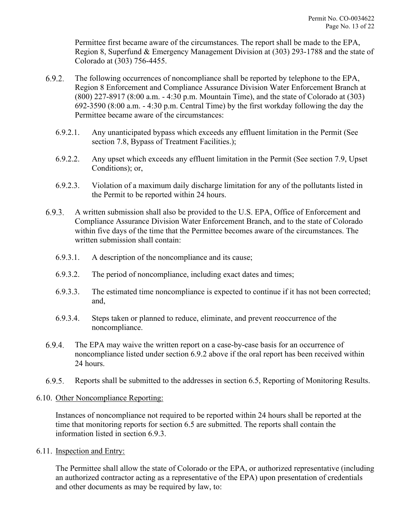Permittee first became aware of the circumstances. The report shall be made to the EPA, Region 8, Superfund & Emergency Management Division at (303) 293-1788 and the state of Colorado at (303) 756-4455.

- <span id="page-12-2"></span> $6.9.2.$ The following occurrences of noncompliance shall be reported by telephone to the EPA, Region 8 Enforcement and Compliance Assurance Division Water Enforcement Branch at (800) 227-8917 (8:00 a.m. - 4:30 p.m. Mountain Time), and the state of Colorado at (303) 692-3590 (8:00 a.m. - 4:30 p.m. Central Time) by the first workday following the day the Permittee became aware of the circumstances:
	- 6.9.2.1. Any unanticipated bypass which exceeds any effluent limitation in the Permit (See section [7.8,](#page-16-1) Bypass of Treatment Facilities.);
	- 6.9.2.2. Any upset which exceeds any effluent limitation in the Permit (See section [7.9,](#page-17-0) Upset Conditions); or,
	- 6.9.2.3. Violation of a maximum daily discharge limitation for any of the pollutants listed in the Permit to be reported within 24 hours.
- <span id="page-12-3"></span> $6.9.3.$ A written submission shall also be provided to the U.S. EPA, Office of Enforcement and Compliance Assurance Division Water Enforcement Branch, and to the state of Colorado within five days of the time that the Permittee becomes aware of the circumstances. The written submission shall contain:
	- 6.9.3.1. A description of the noncompliance and its cause;
	- 6.9.3.2. The period of noncompliance, including exact dates and times;
	- 6.9.3.3. The estimated time noncompliance is expected to continue if it has not been corrected; and,
	- 6.9.3.4. Steps taken or planned to reduce, eliminate, and prevent reoccurrence of the noncompliance.
- $6.9.4.$ The EPA may waive the written report on a case-by-case basis for an occurrence of noncompliance listed under section [6.9.2](#page-12-2) above if the oral report has been received within 24 hours.
- $6.9.5.$ Reports shall be submitted to the addresses in section [6.5,](#page-10-1) Reporting of Monitoring Results.

### <span id="page-12-0"></span>6.10. Other Noncompliance Reporting:

Instances of noncompliance not required to be reported within 24 hours shall be reported at the time that monitoring reports for section [6.5](#page-10-1) are submitted. The reports shall contain the information listed in section [6.9.3.](#page-12-3)

<span id="page-12-1"></span>6.11. Inspection and Entry:

The Permittee shall allow the state of Colorado or the EPA, or authorized representative (including an authorized contractor acting as a representative of the EPA) upon presentation of credentials and other documents as may be required by law, to: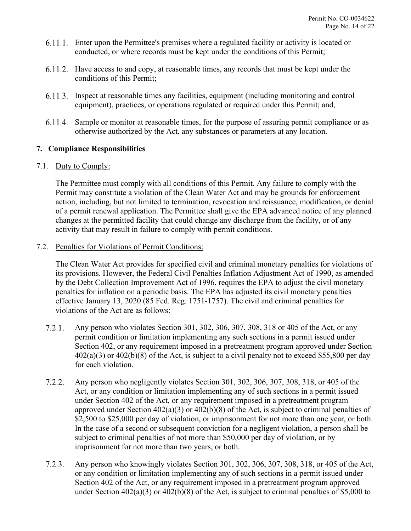- Enter upon the Permittee's premises where a regulated facility or activity is located or conducted, or where records must be kept under the conditions of this Permit;
- 6.11.2. Have access to and copy, at reasonable times, any records that must be kept under the conditions of this Permit;
- Inspect at reasonable times any facilities, equipment (including monitoring and control equipment), practices, or operations regulated or required under this Permit; and,
- Sample or monitor at reasonable times, for the purpose of assuring permit compliance or as otherwise authorized by the Act, any substances or parameters at any location.

# <span id="page-13-0"></span>**7. Compliance Responsibilities**

### <span id="page-13-1"></span>7.1. Duty to Comply:

The Permittee must comply with all conditions of this Permit. Any failure to comply with the Permit may constitute a violation of the Clean Water Act and may be grounds for enforcement action, including, but not limited to termination, revocation and reissuance, modification, or denial of a permit renewal application. The Permittee shall give the EPA advanced notice of any planned changes at the permitted facility that could change any discharge from the facility, or of any activity that may result in failure to comply with permit conditions.

### <span id="page-13-2"></span>7.2. Penalties for Violations of Permit Conditions:

The Clean Water Act provides for specified civil and criminal monetary penalties for violations of its provisions. However, the Federal Civil Penalties Inflation Adjustment Act of 1990, as amended by the Debt Collection Improvement Act of 1996, requires the EPA to adjust the civil monetary penalties for inflation on a periodic basis. The EPA has adjusted its civil monetary penalties effective January 13, 2020 (85 Fed. Reg. 1751-1757). The civil and criminal penalties for violations of the Act are as follows:

- $7.2.1.$ Any person who violates Section 301, 302, 306, 307, 308, 318 or 405 of the Act, or any permit condition or limitation implementing any such sections in a permit issued under Section 402, or any requirement imposed in a pretreatment program approved under Section  $402(a)(3)$  or  $402(b)(8)$  of the Act, is subject to a civil penalty not to exceed \$55,800 per day for each violation.
- $7.2.2.$ Any person who negligently violates Section 301, 302, 306, 307, 308, 318, or 405 of the Act, or any condition or limitation implementing any of such sections in a permit issued under Section 402 of the Act, or any requirement imposed in a pretreatment program approved under Section 402(a)(3) or 402(b)(8) of the Act, is subject to criminal penalties of \$2,500 to \$25,000 per day of violation, or imprisonment for not more than one year, or both. In the case of a second or subsequent conviction for a negligent violation, a person shall be subject to criminal penalties of not more than \$50,000 per day of violation, or by imprisonment for not more than two years, or both.
- $7.2.3.$ Any person who knowingly violates Section 301, 302, 306, 307, 308, 318, or 405 of the Act, or any condition or limitation implementing any of such sections in a permit issued under Section 402 of the Act, or any requirement imposed in a pretreatment program approved under Section 402(a)(3) or 402(b)(8) of the Act, is subject to criminal penalties of \$5,000 to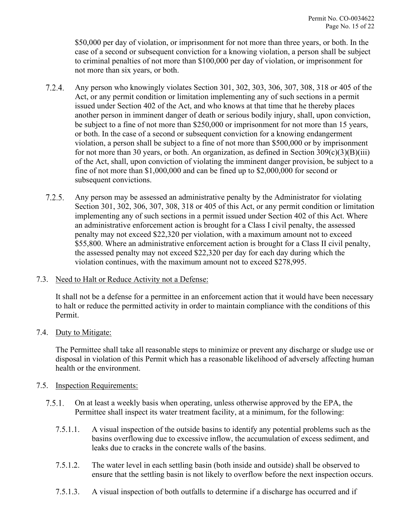\$50,000 per day of violation, or imprisonment for not more than three years, or both. In the case of a second or subsequent conviction for a knowing violation, a person shall be subject to criminal penalties of not more than \$100,000 per day of violation, or imprisonment for not more than six years, or both.

- $7.2.4.$ Any person who knowingly violates Section 301, 302, 303, 306, 307, 308, 318 or 405 of the Act, or any permit condition or limitation implementing any of such sections in a permit issued under Section 402 of the Act, and who knows at that time that he thereby places another person in imminent danger of death or serious bodily injury, shall, upon conviction, be subject to a fine of not more than \$250,000 or imprisonment for not more than 15 years, or both. In the case of a second or subsequent conviction for a knowing endangerment violation, a person shall be subject to a fine of not more than \$500,000 or by imprisonment for not more than 30 years, or both. An organization, as defined in Section  $309(c)(3)(B)(iii)$ of the Act, shall, upon conviction of violating the imminent danger provision, be subject to a fine of not more than \$1,000,000 and can be fined up to \$2,000,000 for second or subsequent convictions.
- $7.2.5.$ Any person may be assessed an administrative penalty by the Administrator for violating Section 301, 302, 306, 307, 308, 318 or 405 of this Act, or any permit condition or limitation implementing any of such sections in a permit issued under Section 402 of this Act. Where an administrative enforcement action is brought for a Class I civil penalty, the assessed penalty may not exceed \$22,320 per violation, with a maximum amount not to exceed \$55,800. Where an administrative enforcement action is brought for a Class II civil penalty, the assessed penalty may not exceed \$22,320 per day for each day during which the violation continues, with the maximum amount not to exceed \$278,995.
- <span id="page-14-0"></span>7.3. Need to Halt or Reduce Activity not a Defense:

It shall not be a defense for a permittee in an enforcement action that it would have been necessary to halt or reduce the permitted activity in order to maintain compliance with the conditions of this Permit.

<span id="page-14-1"></span>7.4. Duty to Mitigate:

The Permittee shall take all reasonable steps to minimize or prevent any discharge or sludge use or disposal in violation of this Permit which has a reasonable likelihood of adversely affecting human health or the environment.

- <span id="page-14-2"></span>7.5. Inspection Requirements:
	- $7.5.1.$ On at least a weekly basis when operating, unless otherwise approved by the EPA, the Permittee shall inspect its water treatment facility, at a minimum, for the following:
		- 7.5.1.1. A visual inspection of the outside basins to identify any potential problems such as the basins overflowing due to excessive inflow, the accumulation of excess sediment, and leaks due to cracks in the concrete walls of the basins.
		- 7.5.1.2. The water level in each settling basin (both inside and outside) shall be observed to ensure that the settling basin is not likely to overflow before the next inspection occurs.
		- 7.5.1.3. A visual inspection of both outfalls to determine if a discharge has occurred and if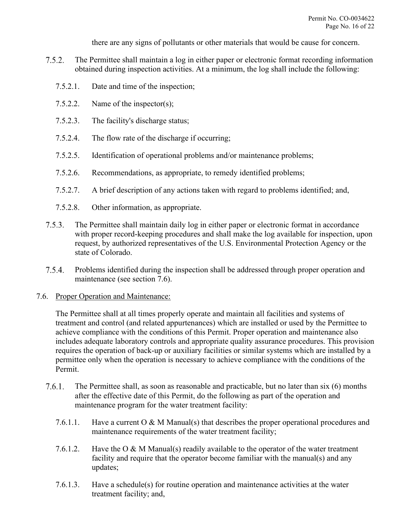there are any signs of pollutants or other materials that would be cause for concern.

- $7.5.2.$ The Permittee shall maintain a log in either paper or electronic format recording information obtained during inspection activities. At a minimum, the log shall include the following:
	- 7.5.2.1. Date and time of the inspection;
	- 7.5.2.2. Name of the inspector(s);
	- 7.5.2.3. The facility's discharge status;
	- 7.5.2.4. The flow rate of the discharge if occurring;
	- 7.5.2.5. Identification of operational problems and/or maintenance problems;
	- 7.5.2.6. Recommendations, as appropriate, to remedy identified problems;
	- 7.5.2.7. A brief description of any actions taken with regard to problems identified; and,
	- 7.5.2.8. Other information, as appropriate.
- $7.5.3.$ The Permittee shall maintain daily log in either paper or electronic format in accordance with proper record-keeping procedures and shall make the log available for inspection, upon request, by authorized representatives of the U.S. Environmental Protection Agency or the state of Colorado.
- $7.5.4.$ Problems identified during the inspection shall be addressed through proper operation and maintenance (see section [7.6\)](#page-15-0).
- <span id="page-15-0"></span>7.6. Proper Operation and Maintenance:

The Permittee shall at all times properly operate and maintain all facilities and systems of treatment and control (and related appurtenances) which are installed or used by the Permittee to achieve compliance with the conditions of this Permit. Proper operation and maintenance also includes adequate laboratory controls and appropriate quality assurance procedures. This provision requires the operation of back-up or auxiliary facilities or similar systems which are installed by a permittee only when the operation is necessary to achieve compliance with the conditions of the Permit.

- $7.6.1.$ The Permittee shall, as soon as reasonable and practicable, but no later than six (6) months after the effective date of this Permit, do the following as part of the operation and maintenance program for the water treatment facility:
	- 7.6.1.1. Have a current O & M Manual(s) that describes the proper operational procedures and maintenance requirements of the water treatment facility;
	- 7.6.1.2. Have the O & M Manual(s) readily available to the operator of the water treatment facility and require that the operator become familiar with the manual(s) and any updates;
	- 7.6.1.3. Have a schedule(s) for routine operation and maintenance activities at the water treatment facility; and,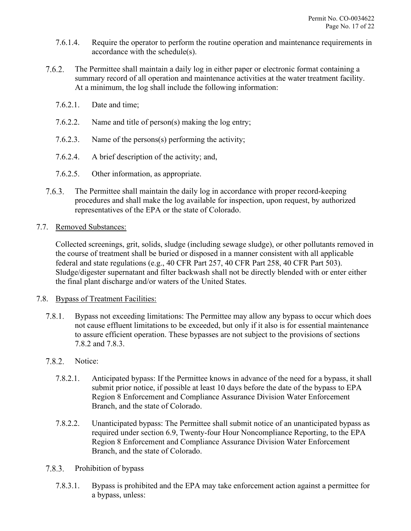- 7.6.1.4. Require the operator to perform the routine operation and maintenance requirements in accordance with the schedule(s).
- $7.6.2.$ The Permittee shall maintain a daily log in either paper or electronic format containing a summary record of all operation and maintenance activities at the water treatment facility. At a minimum, the log shall include the following information:
	- 7.6.2.1. Date and time;
	- 7.6.2.2. Name and title of person(s) making the log entry;
	- 7.6.2.3. Name of the persons(s) performing the activity;
	- 7.6.2.4. A brief description of the activity; and,
	- 7.6.2.5. Other information, as appropriate.
- $7.6.3.$ The Permittee shall maintain the daily log in accordance with proper record-keeping procedures and shall make the log available for inspection, upon request, by authorized representatives of the EPA or the state of Colorado.
- <span id="page-16-0"></span>7.7. Removed Substances:

Collected screenings, grit, solids, sludge (including sewage sludge), or other pollutants removed in the course of treatment shall be buried or disposed in a manner consistent with all applicable federal and state regulations (e.g., 40 CFR Part 257, 40 CFR Part 258, 40 CFR Part 503). Sludge/digester supernatant and filter backwash shall not be directly blended with or enter either the final plant discharge and/or waters of the United States.

- <span id="page-16-4"></span><span id="page-16-3"></span><span id="page-16-2"></span><span id="page-16-1"></span>7.8. Bypass of Treatment Facilities:
	- $7.8.1.$ Bypass not exceeding limitations: The Permittee may allow any bypass to occur which does not cause effluent limitations to be exceeded, but only if it also is for essential maintenance to assure efficient operation. These bypasses are not subject to the provisions of sections [7.8.2](#page-16-2) and [7.8.3.](#page-16-3)
	- $7.8.2.$ Notice:
		- 7.8.2.1. Anticipated bypass: If the Permittee knows in advance of the need for a bypass, it shall submit prior notice, if possible at least 10 days before the date of the bypass to EPA Region 8 Enforcement and Compliance Assurance Division Water Enforcement Branch, and the state of Colorado.
		- 7.8.2.2. Unanticipated bypass: The Permittee shall submit notice of an unanticipated bypass as required under section [6.9,](#page-11-3) Twenty-four Hour Noncompliance Reporting, to the EPA Region 8 Enforcement and Compliance Assurance Division Water Enforcement Branch, and the state of Colorado.
	- $7.8.3.$ Prohibition of bypass
		- 7.8.3.1. Bypass is prohibited and the EPA may take enforcement action against a permittee for a bypass, unless: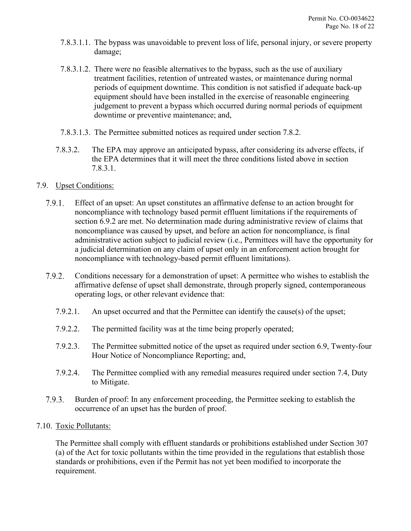- 7.8.3.1.1. The bypass was unavoidable to prevent loss of life, personal injury, or severe property damage;
- 7.8.3.1.2. There were no feasible alternatives to the bypass, such as the use of auxiliary treatment facilities, retention of untreated wastes, or maintenance during normal periods of equipment downtime. This condition is not satisfied if adequate back-up equipment should have been installed in the exercise of reasonable engineering judgement to prevent a bypass which occurred during normal periods of equipment downtime or preventive maintenance; and,
- 7.8.3.1.3. The Permittee submitted notices as required under section [7.8.2.](#page-16-2)
- 7.8.3.2. The EPA may approve an anticipated bypass, after considering its adverse effects, if the EPA determines that it will meet the three conditions listed above in section [7.8.3.1.](#page-16-4)

# <span id="page-17-0"></span>7.9. Upset Conditions:

- $7.9.1.$ Effect of an upset: An upset constitutes an affirmative defense to an action brought for noncompliance with technology based permit effluent limitations if the requirements of section 6.9.2 are met. No determination made during administrative review of claims that noncompliance was caused by upset, and before an action for noncompliance, is final administrative action subject to judicial review (i.e., Permittees will have the opportunity for a judicial determination on any claim of upset only in an enforcement action brought for noncompliance with technology-based permit effluent limitations).
- $7.9.2.$ Conditions necessary for a demonstration of upset: A permittee who wishes to establish the affirmative defense of upset shall demonstrate, through properly signed, contemporaneous operating logs, or other relevant evidence that:
	- 7.9.2.1. An upset occurred and that the Permittee can identify the cause(s) of the upset;
	- 7.9.2.2. The permitted facility was at the time being properly operated;
	- 7.9.2.3. The Permittee submitted notice of the upset as required under section [6.9,](#page-11-3) Twenty-four Hour Notice of Noncompliance Reporting; and,
	- 7.9.2.4. The Permittee complied with any remedial measures required under section [7.4,](#page-14-1) Duty to Mitigate.
- Burden of proof: In any enforcement proceeding, the Permittee seeking to establish the 7.9.3. occurrence of an upset has the burden of proof.

### <span id="page-17-1"></span>7.10. Toxic Pollutants:

The Permittee shall comply with effluent standards or prohibitions established under Section 307 (a) of the Act for toxic pollutants within the time provided in the regulations that establish those standards or prohibitions, even if the Permit has not yet been modified to incorporate the requirement.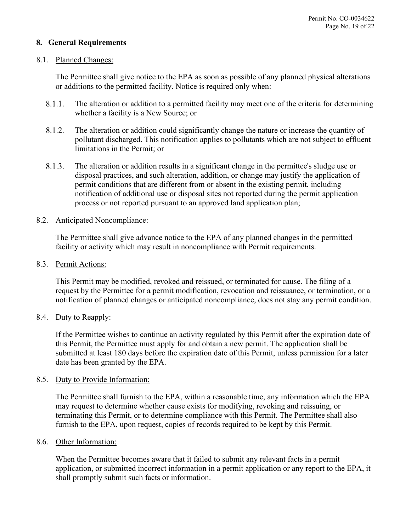## <span id="page-18-0"></span>**8. General Requirements**

#### <span id="page-18-1"></span>8.1. Planned Changes:

The Permittee shall give notice to the EPA as soon as possible of any planned physical alterations or additions to the permitted facility. Notice is required only when:

- $8.1.1.$ The alteration or addition to a permitted facility may meet one of the criteria for determining whether a facility is a New Source; or
- 8.1.2. The alteration or addition could significantly change the nature or increase the quantity of pollutant discharged. This notification applies to pollutants which are not subject to effluent limitations in the Permit; or
- 8.1.3. The alteration or addition results in a significant change in the permittee's sludge use or disposal practices, and such alteration, addition, or change may justify the application of permit conditions that are different from or absent in the existing permit, including notification of additional use or disposal sites not reported during the permit application process or not reported pursuant to an approved land application plan;

### <span id="page-18-2"></span>8.2. Anticipated Noncompliance:

The Permittee shall give advance notice to the EPA of any planned changes in the permitted facility or activity which may result in noncompliance with Permit requirements.

<span id="page-18-3"></span>8.3. Permit Actions:

This Permit may be modified, revoked and reissued, or terminated for cause. The filing of a request by the Permittee for a permit modification, revocation and reissuance, or termination, or a notification of planned changes or anticipated noncompliance, does not stay any permit condition.

### <span id="page-18-4"></span>8.4. Duty to Reapply:

If the Permittee wishes to continue an activity regulated by this Permit after the expiration date of this Permit, the Permittee must apply for and obtain a new permit. The application shall be submitted at least 180 days before the expiration date of this Permit, unless permission for a later date has been granted by the EPA.

### <span id="page-18-5"></span>8.5. Duty to Provide Information:

The Permittee shall furnish to the EPA, within a reasonable time, any information which the EPA may request to determine whether cause exists for modifying, revoking and reissuing, or terminating this Permit, or to determine compliance with this Permit. The Permittee shall also furnish to the EPA, upon request, copies of records required to be kept by this Permit.

#### <span id="page-18-6"></span>8.6. Other Information:

When the Permittee becomes aware that it failed to submit any relevant facts in a permit application, or submitted incorrect information in a permit application or any report to the EPA, it shall promptly submit such facts or information.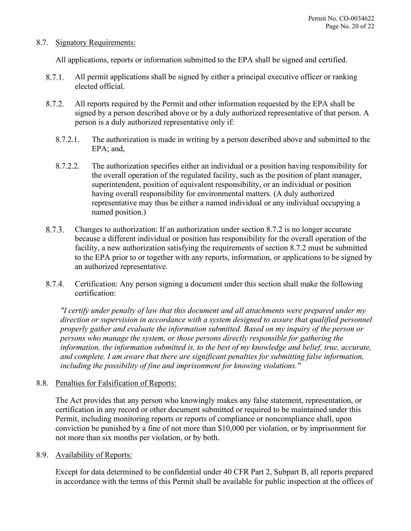### <span id="page-19-0"></span>8.7. Signatory Requirements:

All applications, reports or information submitted to the EPA shall be signed and certified.

- $8.7.1.$ All permit applications shall be signed by either a principal executive officer or ranking elected official.
- <span id="page-19-3"></span>All reports required by the Permit and other information requested by the EPA shall be 8.7.2. signed by a person described above or by a duly authorized representative of that person. A person is a duly authorized representative only if:
	- 8.7.2.1. The authorization is made in writing by a person described above and submitted to the EPA; and,
	- 8.7.2.2. The authorization specifies either an individual or a position having responsibility for the overall operation of the regulated facility, such as the position of plant manager, superintendent, position of equivalent responsibility, or an individual or position having overall responsibility for environmental matters. (A duly authorized representative may thus be either a named individual or any individual occupying a named position.)
- 8.7.3. Changes to authorization: If an authorization under section [8.7.2](#page-19-3) is no longer accurate because a different individual or position has responsibility for the overall operation of the facility, a new authorization satisfying the requirements of section [8.7.2](#page-19-3) must be submitted to the EPA prior to or together with any reports, information, or applications to be signed by an authorized representative.
- 8.7.4. Certification: Any person signing a document under this section shall make the following certification:

*"I certify under penalty of law that this document and all attachments were prepared under my direction or supervision in accordance with a system designed to assure that qualified personnel properly gather and evaluate the information submitted. Based on my inquiry of the person or persons who manage the system, or those persons directly responsible for gathering the information, the information submitted is, to the best of my knowledge and belief, true, accurate, and complete. I am aware that there are significant penalties for submitting false information, including the possibility of fine and imprisonment for knowing violations."*

### <span id="page-19-1"></span>8.8. Penalties for Falsification of Reports:

The Act provides that any person who knowingly makes any false statement, representation, or certification in any record or other document submitted or required to be maintained under this Permit, including monitoring reports or reports of compliance or noncompliance shall, upon conviction be punished by a fine of not more than \$10,000 per violation, or by imprisonment for not more than six months per violation, or by both.

<span id="page-19-2"></span>8.9. Availability of Reports:

Except for data determined to be confidential under 40 CFR Part 2, Subpart B, all reports prepared in accordance with the terms of this Permit shall be available for public inspection at the offices of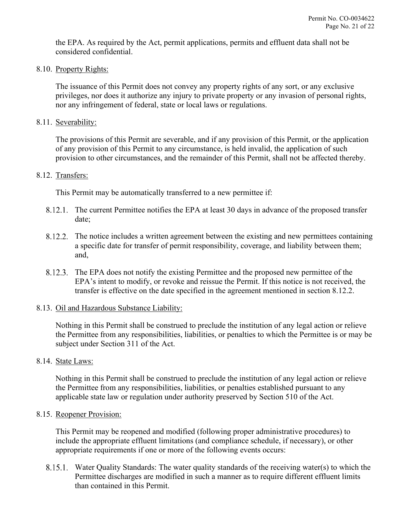the EPA. As required by the Act, permit applications, permits and effluent data shall not be considered confidential.

<span id="page-20-0"></span>8.10. Property Rights:

The issuance of this Permit does not convey any property rights of any sort, or any exclusive privileges, nor does it authorize any injury to private property or any invasion of personal rights, nor any infringement of federal, state or local laws or regulations.

<span id="page-20-1"></span>8.11. Severability:

The provisions of this Permit are severable, and if any provision of this Permit, or the application of any provision of this Permit to any circumstance, is held invalid, the application of such provision to other circumstances, and the remainder of this Permit, shall not be affected thereby.

#### <span id="page-20-2"></span>8.12. Transfers:

This Permit may be automatically transferred to a new permittee if:

- 8.12.1. The current Permittee notifies the EPA at least 30 days in advance of the proposed transfer date;
- <span id="page-20-6"></span>The notice includes a written agreement between the existing and new permittees containing a specific date for transfer of permit responsibility, coverage, and liability between them; and,
- The EPA does not notify the existing Permittee and the proposed new permittee of the EPA's intent to modify, or revoke and reissue the Permit. If this notice is not received, the transfer is effective on the date specified in the agreement mentioned in section [8.12.2.](#page-20-6)

### <span id="page-20-3"></span>8.13. Oil and Hazardous Substance Liability:

Nothing in this Permit shall be construed to preclude the institution of any legal action or relieve the Permittee from any responsibilities, liabilities, or penalties to which the Permittee is or may be subject under Section 311 of the Act.

#### <span id="page-20-4"></span>8.14. State Laws:

Nothing in this Permit shall be construed to preclude the institution of any legal action or relieve the Permittee from any responsibilities, liabilities, or penalties established pursuant to any applicable state law or regulation under authority preserved by Section 510 of the Act.

#### <span id="page-20-5"></span>8.15. Reopener Provision:

This Permit may be reopened and modified (following proper administrative procedures) to include the appropriate effluent limitations (and compliance schedule, if necessary), or other appropriate requirements if one or more of the following events occurs:

Water Quality Standards: The water quality standards of the receiving water(s) to which the Permittee discharges are modified in such a manner as to require different effluent limits than contained in this Permit.